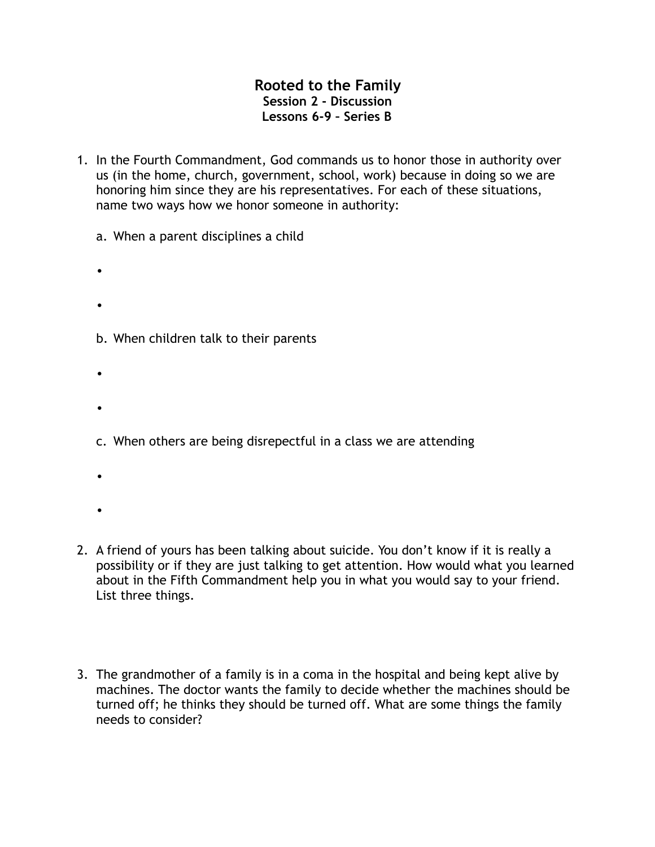## **Rooted to the Family Session 2 - Discussion Lessons 6-9 – Series B**

- 1. In the Fourth Commandment, God commands us to honor those in authority over us (in the home, church, government, school, work) because in doing so we are honoring him since they are his representatives. For each of these situations, name two ways how we honor someone in authority:
	- a. When a parent disciplines a child
	- •
	- •
	- b. When children talk to their parents
	- •
	- •
	- c. When others are being disrepectful in a class we are attending
	- •
	-
	- •
- 2. A friend of yours has been talking about suicide. You don't know if it is really a possibility or if they are just talking to get attention. How would what you learned about in the Fifth Commandment help you in what you would say to your friend. List three things.
- 3. The grandmother of a family is in a coma in the hospital and being kept alive by machines. The doctor wants the family to decide whether the machines should be turned off; he thinks they should be turned off. What are some things the family needs to consider?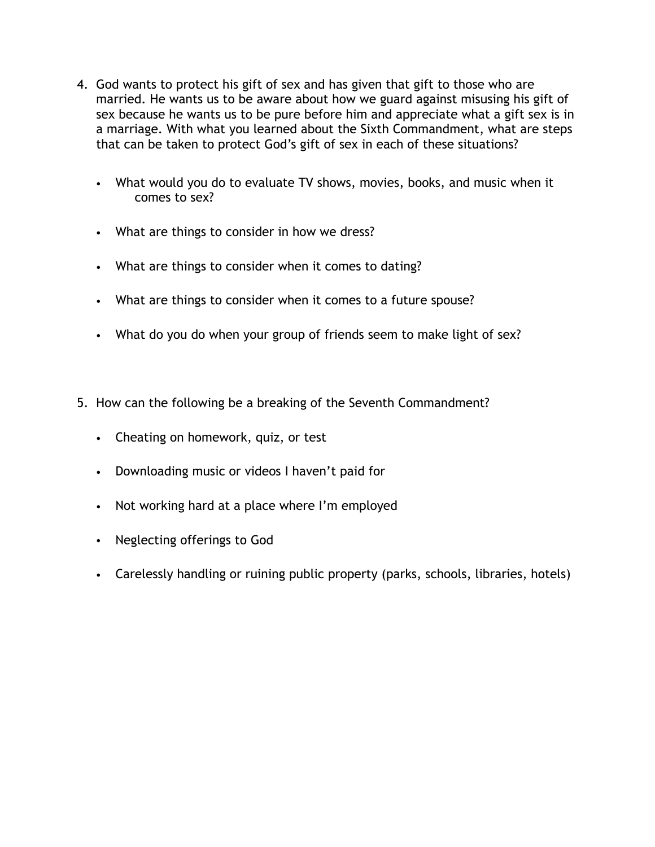- 4. God wants to protect his gift of sex and has given that gift to those who are married. He wants us to be aware about how we guard against misusing his gift of sex because he wants us to be pure before him and appreciate what a gift sex is in a marriage. With what you learned about the Sixth Commandment, what are steps that can be taken to protect God's gift of sex in each of these situations?
	- What would you do to evaluate TV shows, movies, books, and music when it comes to sex?
	- What are things to consider in how we dress?
	- What are things to consider when it comes to dating?
	- What are things to consider when it comes to a future spouse?
	- What do you do when your group of friends seem to make light of sex?
- 5. How can the following be a breaking of the Seventh Commandment?
	- Cheating on homework, quiz, or test
	- Downloading music or videos I haven't paid for
	- Not working hard at a place where I'm employed
	- Neglecting offerings to God
	- Carelessly handling or ruining public property (parks, schools, libraries, hotels)